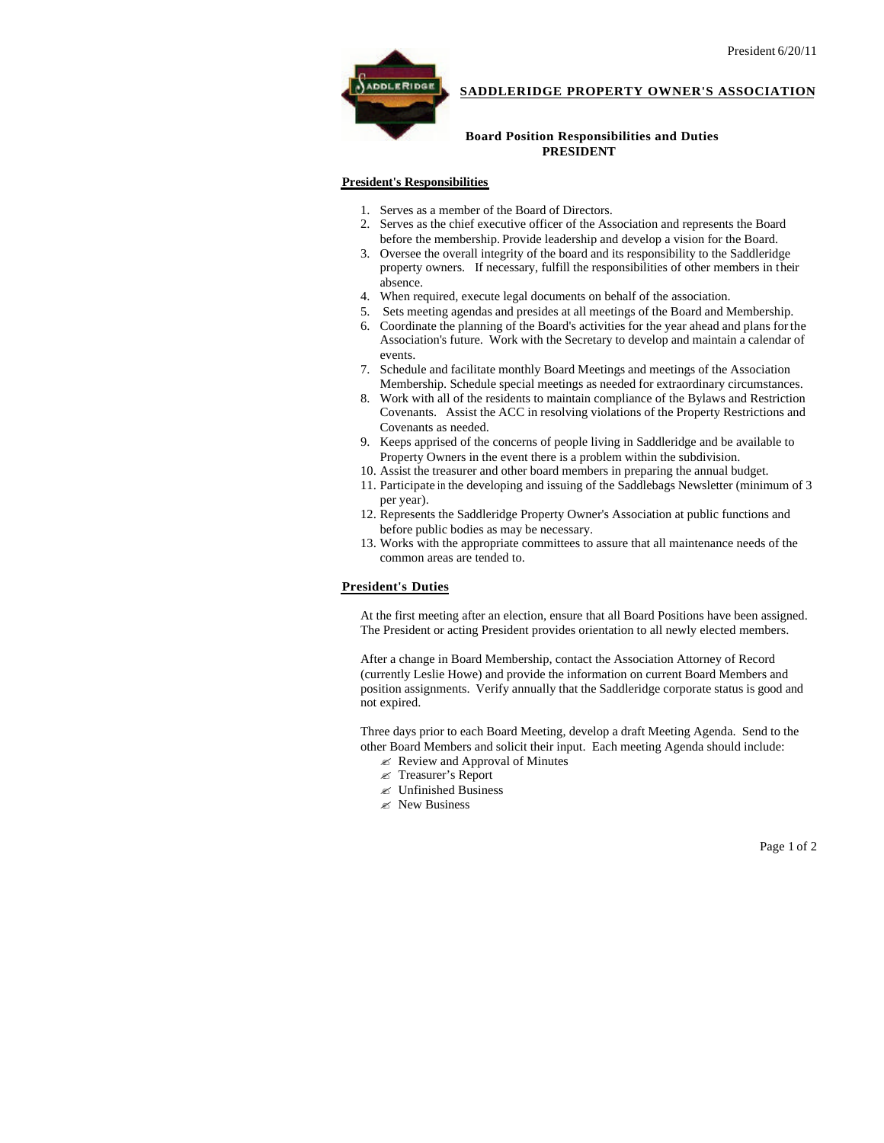

## **SADDLERIDGE PROPERTY OWNER'S ASSOCIATION**

## **Board Position Responsibilities and Duties PRESIDENT**

## **President's Responsibilities**

- 1. Serves as a member of the Board of Directors.
- 2. Serves as the chief executive officer of the Association and represents the Board before the membership. Provide leadership and develop a vision for the Board.
- 3. Oversee the overall integrity of the board and its responsibility to the Saddleridge property owners. If necessary, fulfill the responsibilities of other members in their absence.
- 4. When required, execute legal documents on behalf of the association.
- 5. Sets meeting agendas and presides at all meetings of the Board and Membership.
- 6. Coordinate the planning of the Board's activities for the year ahead and plans for the Association's future. Work with the Secretary to develop and maintain a calendar of events.
- 7. Schedule and facilitate monthly Board Meetings and meetings of the Association Membership. Schedule special meetings as needed for extraordinary circumstances.
- 8. Work with all of the residents to maintain compliance of the Bylaws and Restriction Covenants. Assist the ACC in resolving violations of the Property Restrictions and Covenants as needed.
- 9. Keeps apprised of the concerns of people living in Saddleridge and be available to Property Owners in the event there is a problem within the subdivision.
- 10. Assist the treasurer and other board members in preparing the annual budget.
- 11. Participate in the developing and issuing of the Saddlebags Newsletter (minimum of 3 per year).
- 12. Represents the Saddleridge Property Owner's Association at public functions and before public bodies as may be necessary.
- 13. Works with the appropriate committees to assure that all maintenance needs of the common areas are tended to.

## **President's Duties**

At the first meeting after an election, ensure that all Board Positions have been assigned. The President or acting President provides orientation to all newly elected members.

After a change in Board Membership, contact the Association Attorney of Record (currently Leslie Howe) and provide the information on current Board Members and position assignments. Verify annually that the Saddleridge corporate status is good and not expired.

Three days prior to each Board Meeting, develop a draft Meeting Agenda. Send to the other Board Members and solicit their input. Each meeting Agenda should include:

- $\mathscr{\mathscr{E}}$  Review and Approval of Minutes
- ? Treasurer's Report
- $\ll$  Unfinished Business
- $\mathscr{\mathscr{L}}$  New Business